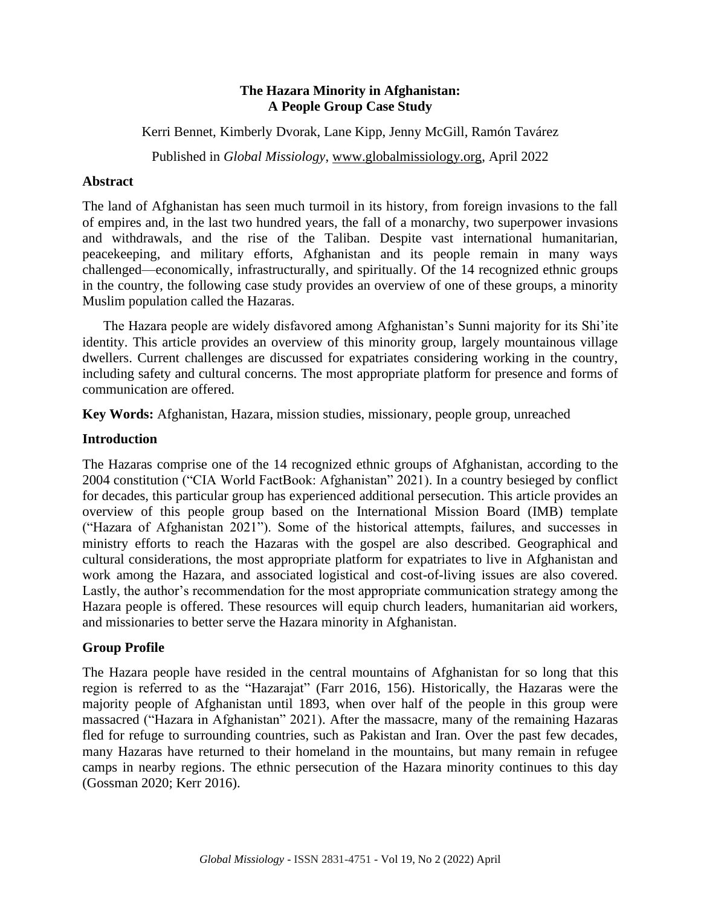## **The Hazara Minority in Afghanistan: A People Group Case Study**

Kerri Bennet, Kimberly Dvorak, Lane Kipp, Jenny McGill, Ramón Tavárez

Published in *Global Missiology*, [www.globalmissiology.org,](http://www.globalmissiology.org/) April 2022

## **Abstract**

The land of Afghanistan has seen much turmoil in its history, from foreign invasions to the fall of empires and, in the last two hundred years, the fall of a monarchy, two superpower invasions and withdrawals, and the rise of the Taliban. Despite vast international humanitarian, peacekeeping, and military efforts, Afghanistan and its people remain in many ways challenged—economically, infrastructurally, and spiritually. Of the 14 recognized ethnic groups in the country, the following case study provides an overview of one of these groups, a minority Muslim population called the Hazaras.

The Hazara people are widely disfavored among Afghanistan's Sunni majority for its Shi'ite identity. This article provides an overview of this minority group, largely mountainous village dwellers. Current challenges are discussed for expatriates considering working in the country, including safety and cultural concerns. The most appropriate platform for presence and forms of communication are offered.

**Key Words:** Afghanistan, Hazara, mission studies, missionary, people group, unreached

## **Introduction**

The Hazaras comprise one of the 14 recognized ethnic groups of Afghanistan, according to the 2004 constitution ("CIA World FactBook: Afghanistan" 2021). In a country besieged by conflict for decades, this particular group has experienced additional persecution. This article provides an overview of this people group based on the International Mission Board (IMB) template ("Hazara of Afghanistan 2021"). Some of the historical attempts, failures, and successes in ministry efforts to reach the Hazaras with the gospel are also described. Geographical and cultural considerations, the most appropriate platform for expatriates to live in Afghanistan and work among the Hazara, and associated logistical and cost-of-living issues are also covered. Lastly, the author's recommendation for the most appropriate communication strategy among the Hazara people is offered. These resources will equip church leaders, humanitarian aid workers, and missionaries to better serve the Hazara minority in Afghanistan.

# **Group Profile**

The Hazara people have resided in the central mountains of Afghanistan for so long that this region is referred to as the "Hazarajat" (Farr 2016, 156). Historically, the Hazaras were the majority people of Afghanistan until 1893, when over half of the people in this group were massacred ("Hazara in Afghanistan" 2021). After the massacre, many of the remaining Hazaras fled for refuge to surrounding countries, such as Pakistan and Iran. Over the past few decades, many Hazaras have returned to their homeland in the mountains, but many remain in refugee camps in nearby regions. The ethnic persecution of the Hazara minority continues to this day (Gossman 2020; Kerr 2016).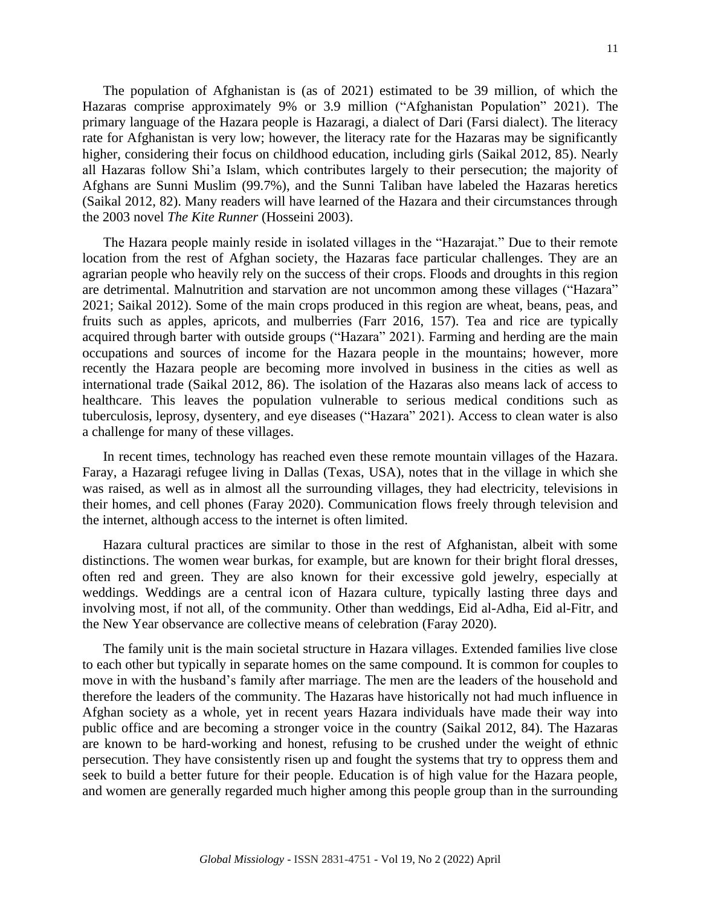The population of Afghanistan is (as of 2021) estimated to be 39 million, of which the Hazaras comprise approximately 9% or 3.9 million ("Afghanistan Population" 2021). The primary language of the Hazara people is Hazaragi, a dialect of Dari (Farsi dialect). The literacy rate for Afghanistan is very low; however, the literacy rate for the Hazaras may be significantly higher, considering their focus on childhood education, including girls (Saikal 2012, 85). Nearly all Hazaras follow Shi'a Islam, which contributes largely to their persecution; the majority of Afghans are Sunni Muslim (99.7%), and the Sunni Taliban have labeled the Hazaras heretics (Saikal 2012, 82). Many readers will have learned of the Hazara and their circumstances through the 2003 novel *The Kite Runner* (Hosseini 2003).

The Hazara people mainly reside in isolated villages in the "Hazarajat." Due to their remote location from the rest of Afghan society, the Hazaras face particular challenges. They are an agrarian people who heavily rely on the success of their crops. Floods and droughts in this region are detrimental. Malnutrition and starvation are not uncommon among these villages ("Hazara" 2021; Saikal 2012). Some of the main crops produced in this region are wheat, beans, peas, and fruits such as apples, apricots, and mulberries (Farr 2016, 157). Tea and rice are typically acquired through barter with outside groups ("Hazara" 2021). Farming and herding are the main occupations and sources of income for the Hazara people in the mountains; however, more recently the Hazara people are becoming more involved in business in the cities as well as international trade (Saikal 2012, 86). The isolation of the Hazaras also means lack of access to healthcare. This leaves the population vulnerable to serious medical conditions such as tuberculosis, leprosy, dysentery, and eye diseases ("Hazara" 2021). Access to clean water is also a challenge for many of these villages.

In recent times, technology has reached even these remote mountain villages of the Hazara. Faray, a Hazaragi refugee living in Dallas (Texas, USA), notes that in the village in which she was raised, as well as in almost all the surrounding villages, they had electricity, televisions in their homes, and cell phones (Faray 2020). Communication flows freely through television and the internet, although access to the internet is often limited.

Hazara cultural practices are similar to those in the rest of Afghanistan, albeit with some distinctions. The women wear burkas, for example, but are known for their bright floral dresses, often red and green. They are also known for their excessive gold jewelry, especially at weddings. Weddings are a central icon of Hazara culture, typically lasting three days and involving most, if not all, of the community. Other than weddings, Eid al-Adha, Eid al-Fitr, and the New Year observance are collective means of celebration (Faray 2020).

The family unit is the main societal structure in Hazara villages. Extended families live close to each other but typically in separate homes on the same compound. It is common for couples to move in with the husband's family after marriage. The men are the leaders of the household and therefore the leaders of the community. The Hazaras have historically not had much influence in Afghan society as a whole, yet in recent years Hazara individuals have made their way into public office and are becoming a stronger voice in the country (Saikal 2012, 84). The Hazaras are known to be hard-working and honest, refusing to be crushed under the weight of ethnic persecution. They have consistently risen up and fought the systems that try to oppress them and seek to build a better future for their people. Education is of high value for the Hazara people, and women are generally regarded much higher among this people group than in the surrounding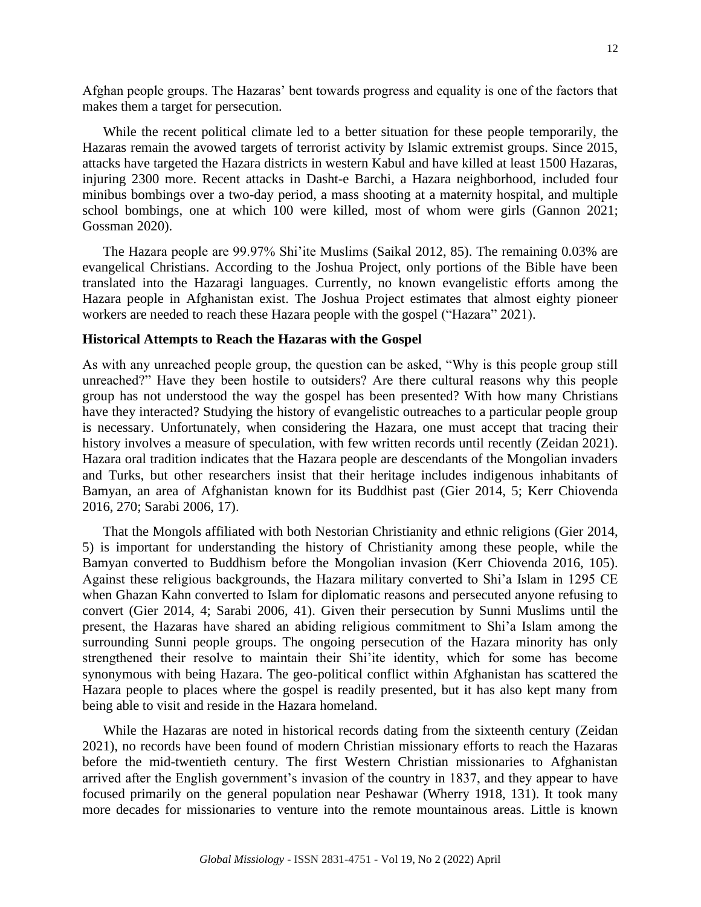Afghan people groups. The Hazaras' bent towards progress and equality is one of the factors that makes them a target for persecution.

While the recent political climate led to a better situation for these people temporarily, the Hazaras remain the avowed targets of terrorist activity by Islamic extremist groups. Since 2015, attacks have targeted the Hazara districts in western Kabul and have killed at least 1500 Hazaras, injuring 2300 more. Recent attacks in Dasht-e Barchi, a Hazara neighborhood, included four minibus bombings over a two-day period, a mass shooting at a maternity hospital, and multiple school bombings, one at which 100 were killed, most of whom were girls (Gannon 2021; Gossman 2020).

The Hazara people are 99.97% Shi'ite Muslims (Saikal 2012, 85). The remaining 0.03% are evangelical Christians. According to the Joshua Project, only portions of the Bible have been translated into the Hazaragi languages. Currently, no known evangelistic efforts among the Hazara people in Afghanistan exist. The Joshua Project estimates that almost eighty pioneer workers are needed to reach these Hazara people with the gospel ("Hazara" 2021).

#### **Historical Attempts to Reach the Hazaras with the Gospel**

As with any unreached people group, the question can be asked, "Why is this people group still unreached?" Have they been hostile to outsiders? Are there cultural reasons why this people group has not understood the way the gospel has been presented? With how many Christians have they interacted? Studying the history of evangelistic outreaches to a particular people group is necessary. Unfortunately, when considering the Hazara, one must accept that tracing their history involves a measure of speculation, with few written records until recently (Zeidan 2021). Hazara oral tradition indicates that the Hazara people are descendants of the Mongolian invaders and Turks, but other researchers insist that their heritage includes indigenous inhabitants of Bamyan, an area of Afghanistan known for its Buddhist past (Gier 2014, 5; Kerr Chiovenda 2016, 270; Sarabi 2006, 17).

That the Mongols affiliated with both Nestorian Christianity and ethnic religions (Gier 2014, 5) is important for understanding the history of Christianity among these people, while the Bamyan converted to Buddhism before the Mongolian invasion (Kerr Chiovenda 2016, 105). Against these religious backgrounds, the Hazara military converted to Shi'a Islam in 1295 CE when Ghazan Kahn converted to Islam for diplomatic reasons and persecuted anyone refusing to convert (Gier 2014, 4; Sarabi 2006, 41). Given their persecution by Sunni Muslims until the present, the Hazaras have shared an abiding religious commitment to Shi'a Islam among the surrounding Sunni people groups. The ongoing persecution of the Hazara minority has only strengthened their resolve to maintain their Shi'ite identity, which for some has become synonymous with being Hazara. The geo-political conflict within Afghanistan has scattered the Hazara people to places where the gospel is readily presented, but it has also kept many from being able to visit and reside in the Hazara homeland.

While the Hazaras are noted in historical records dating from the sixteenth century (Zeidan 2021), no records have been found of modern Christian missionary efforts to reach the Hazaras before the mid-twentieth century. The first Western Christian missionaries to Afghanistan arrived after the English government's invasion of the country in 1837, and they appear to have focused primarily on the general population near Peshawar (Wherry 1918, 131). It took many more decades for missionaries to venture into the remote mountainous areas. Little is known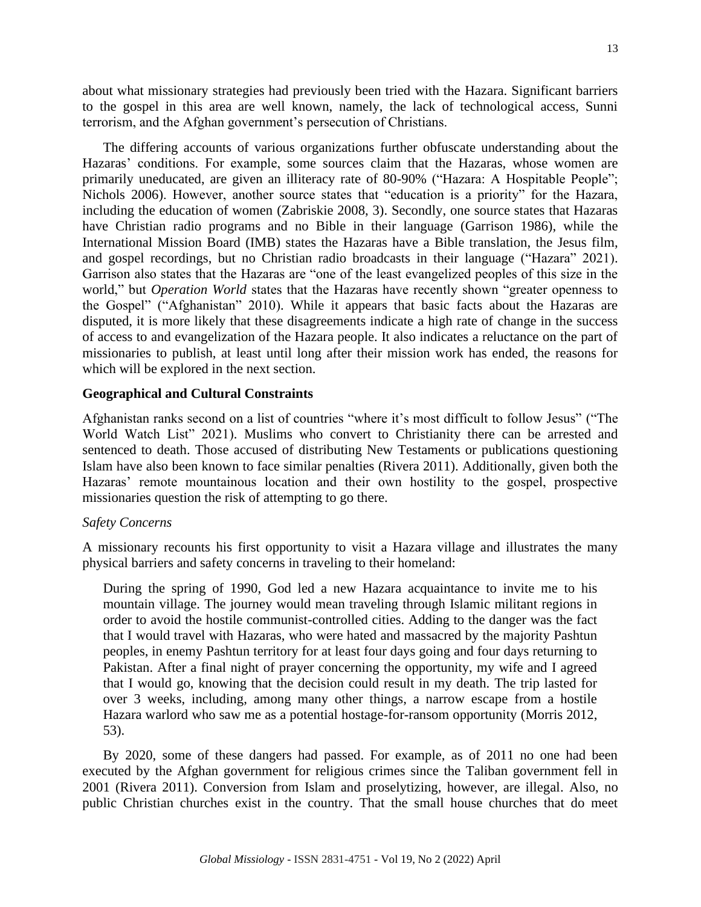about what missionary strategies had previously been tried with the Hazara. Significant barriers to the gospel in this area are well known, namely, the lack of technological access, Sunni terrorism, and the Afghan government's persecution of Christians.

The differing accounts of various organizations further obfuscate understanding about the Hazaras' conditions. For example, some sources claim that the Hazaras, whose women are primarily uneducated, are given an illiteracy rate of 80-90% ("Hazara: A Hospitable People"; Nichols 2006). However, another source states that "education is a priority" for the Hazara, including the education of women (Zabriskie 2008, 3). Secondly, one source states that Hazaras have Christian radio programs and no Bible in their language (Garrison 1986), while the International Mission Board (IMB) states the Hazaras have a Bible translation, the Jesus film, and gospel recordings, but no Christian radio broadcasts in their language ("Hazara" 2021). Garrison also states that the Hazaras are "one of the least evangelized peoples of this size in the world," but *Operation World* states that the Hazaras have recently shown "greater openness to the Gospel" ("Afghanistan" 2010). While it appears that basic facts about the Hazaras are disputed, it is more likely that these disagreements indicate a high rate of change in the success of access to and evangelization of the Hazara people. It also indicates a reluctance on the part of missionaries to publish, at least until long after their mission work has ended, the reasons for which will be explored in the next section.

#### **Geographical and Cultural Constraints**

Afghanistan ranks second on a list of countries "where it's most difficult to follow Jesus" ("The World Watch List" 2021). Muslims who convert to Christianity there can be arrested and sentenced to death. Those accused of distributing New Testaments or publications questioning Islam have also been known to face similar penalties (Rivera 2011). Additionally, given both the Hazaras' remote mountainous location and their own hostility to the gospel, prospective missionaries question the risk of attempting to go there.

#### *Safety Concerns*

A missionary recounts his first opportunity to visit a Hazara village and illustrates the many physical barriers and safety concerns in traveling to their homeland:

During the spring of 1990, God led a new Hazara acquaintance to invite me to his mountain village. The journey would mean traveling through Islamic militant regions in order to avoid the hostile communist-controlled cities. Adding to the danger was the fact that I would travel with Hazaras, who were hated and massacred by the majority Pashtun peoples, in enemy Pashtun territory for at least four days going and four days returning to Pakistan. After a final night of prayer concerning the opportunity, my wife and I agreed that I would go, knowing that the decision could result in my death. The trip lasted for over 3 weeks, including, among many other things, a narrow escape from a hostile Hazara warlord who saw me as a potential hostage-for-ransom opportunity (Morris 2012, 53).

By 2020, some of these dangers had passed. For example, as of 2011 no one had been executed by the Afghan government for religious crimes since the Taliban government fell in 2001 (Rivera 2011). Conversion from Islam and proselytizing, however, are illegal. Also, no public Christian churches exist in the country. That the small house churches that do meet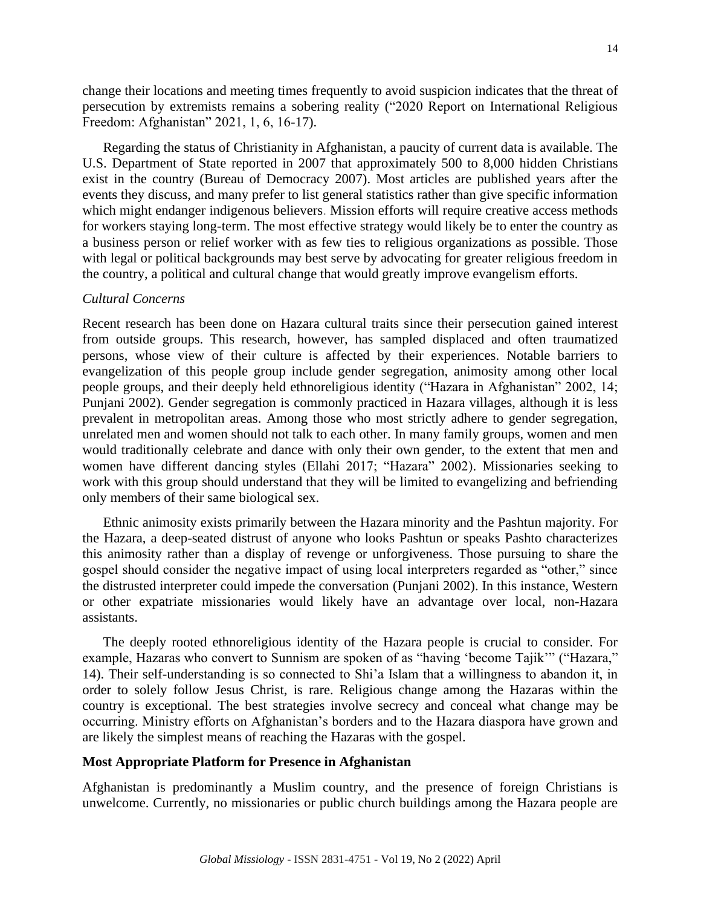change their locations and meeting times frequently to avoid suspicion indicates that the threat of persecution by extremists remains a sobering reality ("2020 Report on International Religious Freedom: Afghanistan" 2021, 1, 6, 16-17).

Regarding the status of Christianity in Afghanistan, a paucity of current data is available. The U.S. Department of State reported in 2007 that approximately 500 to 8,000 hidden Christians exist in the country (Bureau of Democracy 2007). Most articles are published years after the events they discuss, and many prefer to list general statistics rather than give specific information which might endanger indigenous believers. Mission efforts will require creative access methods for workers staying long-term. The most effective strategy would likely be to enter the country as a business person or relief worker with as few ties to religious organizations as possible. Those with legal or political backgrounds may best serve by advocating for greater religious freedom in the country, a political and cultural change that would greatly improve evangelism efforts.

#### *Cultural Concerns*

Recent research has been done on Hazara cultural traits since their persecution gained interest from outside groups. This research, however, has sampled displaced and often traumatized persons, whose view of their culture is affected by their experiences. Notable barriers to evangelization of this people group include gender segregation, animosity among other local people groups, and their deeply held ethnoreligious identity ("Hazara in Afghanistan" 2002, 14; Punjani 2002). Gender segregation is commonly practiced in Hazara villages, although it is less prevalent in metropolitan areas. Among those who most strictly adhere to gender segregation, unrelated men and women should not talk to each other. In many family groups, women and men would traditionally celebrate and dance with only their own gender, to the extent that men and women have different dancing styles (Ellahi 2017; "Hazara" 2002). Missionaries seeking to work with this group should understand that they will be limited to evangelizing and befriending only members of their same biological sex.

Ethnic animosity exists primarily between the Hazara minority and the Pashtun majority. For the Hazara, a deep-seated distrust of anyone who looks Pashtun or speaks Pashto characterizes this animosity rather than a display of revenge or unforgiveness. Those pursuing to share the gospel should consider the negative impact of using local interpreters regarded as "other," since the distrusted interpreter could impede the conversation (Punjani 2002). In this instance, Western or other expatriate missionaries would likely have an advantage over local, non-Hazara assistants.

The deeply rooted ethnoreligious identity of the Hazara people is crucial to consider. For example, Hazaras who convert to Sunnism are spoken of as "having 'become Tajik'" ("Hazara," 14). Their self-understanding is so connected to Shi'a Islam that a willingness to abandon it, in order to solely follow Jesus Christ, is rare. Religious change among the Hazaras within the country is exceptional. The best strategies involve secrecy and conceal what change may be occurring. Ministry efforts on Afghanistan's borders and to the Hazara diaspora have grown and are likely the simplest means of reaching the Hazaras with the gospel.

#### **Most Appropriate Platform for Presence in Afghanistan**

Afghanistan is predominantly a Muslim country, and the presence of foreign Christians is unwelcome. Currently, no missionaries or public church buildings among the Hazara people are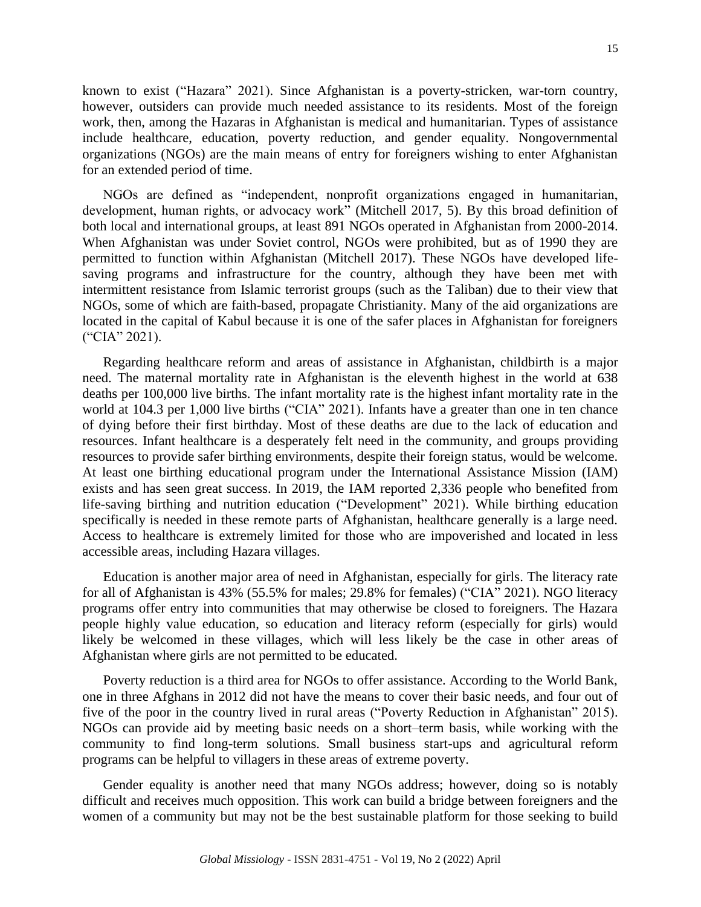known to exist ("Hazara" 2021). Since Afghanistan is a poverty-stricken, war-torn country, however, outsiders can provide much needed assistance to its residents. Most of the foreign work, then, among the Hazaras in Afghanistan is medical and humanitarian. Types of assistance include healthcare, education, poverty reduction, and gender equality. Nongovernmental organizations (NGOs) are the main means of entry for foreigners wishing to enter Afghanistan for an extended period of time.

NGOs are defined as "independent, nonprofit organizations engaged in humanitarian, development, human rights, or advocacy work" (Mitchell 2017, 5). By this broad definition of both local and international groups, at least 891 NGOs operated in Afghanistan from 2000-2014. When Afghanistan was under Soviet control, NGOs were prohibited, but as of 1990 they are permitted to function within Afghanistan (Mitchell 2017). These NGOs have developed lifesaving programs and infrastructure for the country, although they have been met with intermittent resistance from Islamic terrorist groups (such as the Taliban) due to their view that NGOs, some of which are faith-based, propagate Christianity. Many of the aid organizations are located in the capital of Kabul because it is one of the safer places in Afghanistan for foreigners ("CIA" 2021).

Regarding healthcare reform and areas of assistance in Afghanistan, childbirth is a major need. The maternal mortality rate in Afghanistan is the eleventh highest in the world at 638 deaths per 100,000 live births. The infant mortality rate is the highest infant mortality rate in the world at 104.3 per 1,000 live births ("CIA" 2021). Infants have a greater than one in ten chance of dying before their first birthday. Most of these deaths are due to the lack of education and resources. Infant healthcare is a desperately felt need in the community, and groups providing resources to provide safer birthing environments, despite their foreign status, would be welcome. At least one birthing educational program under the International Assistance Mission (IAM) exists and has seen great success. In 2019, the IAM reported 2,336 people who benefited from life-saving birthing and nutrition education ("Development" 2021). While birthing education specifically is needed in these remote parts of Afghanistan, healthcare generally is a large need. Access to healthcare is extremely limited for those who are impoverished and located in less accessible areas, including Hazara villages.

Education is another major area of need in Afghanistan, especially for girls. The literacy rate for all of Afghanistan is 43% (55.5% for males; 29.8% for females) ("CIA" 2021). NGO literacy programs offer entry into communities that may otherwise be closed to foreigners. The Hazara people highly value education, so education and literacy reform (especially for girls) would likely be welcomed in these villages, which will less likely be the case in other areas of Afghanistan where girls are not permitted to be educated.

Poverty reduction is a third area for NGOs to offer assistance. According to the World Bank, one in three Afghans in 2012 did not have the means to cover their basic needs, and four out of five of the poor in the country lived in rural areas ("Poverty Reduction in Afghanistan" 2015). NGOs can provide aid by meeting basic needs on a short–term basis, while working with the community to find long-term solutions. Small business start-ups and agricultural reform programs can be helpful to villagers in these areas of extreme poverty.

Gender equality is another need that many NGOs address; however, doing so is notably difficult and receives much opposition. This work can build a bridge between foreigners and the women of a community but may not be the best sustainable platform for those seeking to build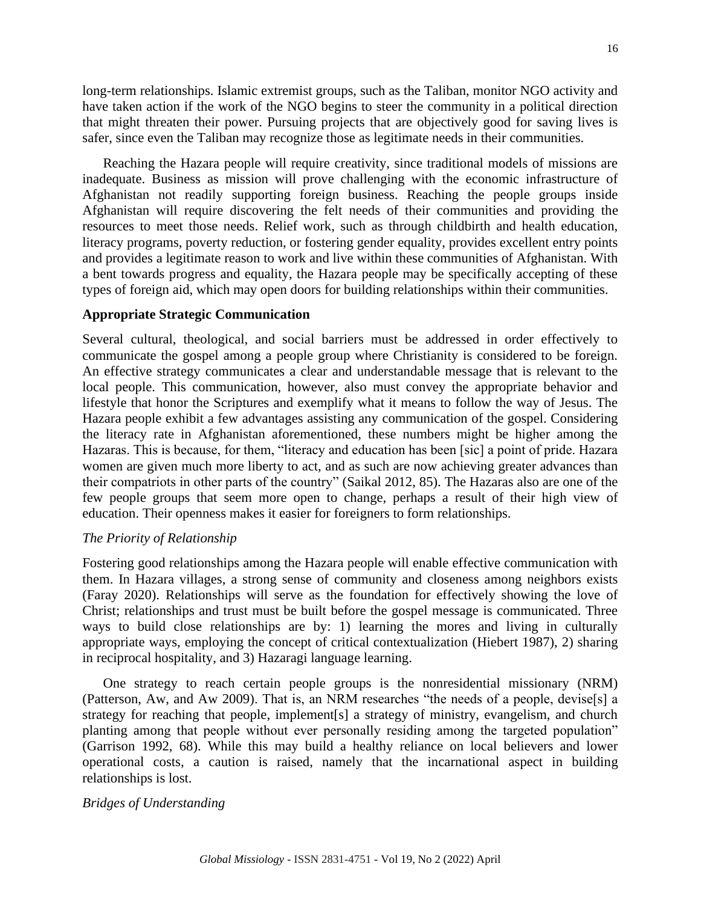long-term relationships. Islamic extremist groups, such as the Taliban, monitor NGO activity and have taken action if the work of the NGO begins to steer the community in a political direction that might threaten their power. Pursuing projects that are objectively good for saving lives is safer, since even the Taliban may recognize those as legitimate needs in their communities.

Reaching the Hazara people will require creativity, since traditional models of missions are inadequate. Business as mission will prove challenging with the economic infrastructure of Afghanistan not readily supporting foreign business. Reaching the people groups inside Afghanistan will require discovering the felt needs of their communities and providing the resources to meet those needs. Relief work, such as through childbirth and health education, literacy programs, poverty reduction, or fostering gender equality, provides excellent entry points and provides a legitimate reason to work and live within these communities of Afghanistan. With a bent towards progress and equality, the Hazara people may be specifically accepting of these types of foreign aid, which may open doors for building relationships within their communities.

### **Appropriate Strategic Communication**

Several cultural, theological, and social barriers must be addressed in order effectively to communicate the gospel among a people group where Christianity is considered to be foreign. An effective strategy communicates a clear and understandable message that is relevant to the local people. This communication, however, also must convey the appropriate behavior and lifestyle that honor the Scriptures and exemplify what it means to follow the way of Jesus. The Hazara people exhibit a few advantages assisting any communication of the gospel. Considering the literacy rate in Afghanistan aforementioned, these numbers might be higher among the Hazaras. This is because, for them, "literacy and education has been [sic] a point of pride. Hazara women are given much more liberty to act, and as such are now achieving greater advances than their compatriots in other parts of the country" (Saikal 2012, 85). The Hazaras also are one of the few people groups that seem more open to change, perhaps a result of their high view of education. Their openness makes it easier for foreigners to form relationships.

#### *The Priority of Relationship*

Fostering good relationships among the Hazara people will enable effective communication with them. In Hazara villages, a strong sense of community and closeness among neighbors exists (Faray 2020). Relationships will serve as the foundation for effectively showing the love of Christ; relationships and trust must be built before the gospel message is communicated. Three ways to build close relationships are by: 1) learning the mores and living in culturally appropriate ways, employing the concept of critical contextualization (Hiebert 1987), 2) sharing in reciprocal hospitality, and 3) Hazaragi language learning.

One strategy to reach certain people groups is the nonresidential missionary (NRM) (Patterson, Aw, and Aw 2009). That is, an NRM researches "the needs of a people, devise[s] a strategy for reaching that people, implement[s] a strategy of ministry, evangelism, and church planting among that people without ever personally residing among the targeted population" (Garrison 1992, 68). While this may build a healthy reliance on local believers and lower operational costs, a caution is raised, namely that the incarnational aspect in building relationships is lost.

### *Bridges of Understanding*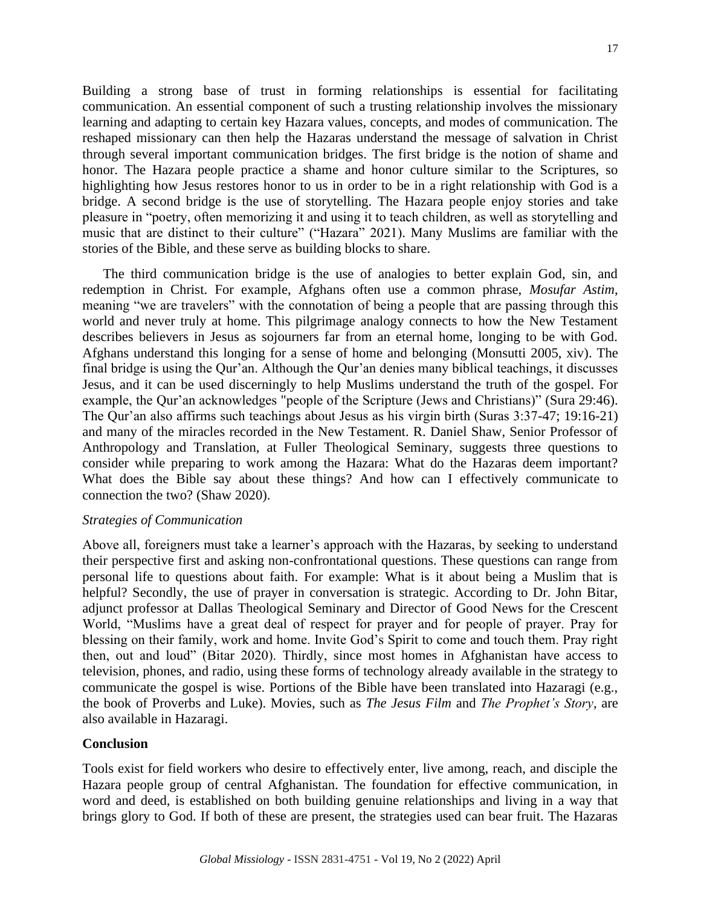Building a strong base of trust in forming relationships is essential for facilitating communication. An essential component of such a trusting relationship involves the missionary learning and adapting to certain key Hazara values, concepts, and modes of communication. The reshaped missionary can then help the Hazaras understand the message of salvation in Christ through several important communication bridges. The first bridge is the notion of shame and honor. The Hazara people practice a shame and honor culture similar to the Scriptures, so highlighting how Jesus restores honor to us in order to be in a right relationship with God is a bridge. A second bridge is the use of storytelling. The Hazara people enjoy stories and take pleasure in "poetry, often memorizing it and using it to teach children, as well as storytelling and music that are distinct to their culture" ("Hazara" 2021). Many Muslims are familiar with the stories of the Bible, and these serve as building blocks to share.

The third communication bridge is the use of analogies to better explain God, sin, and redemption in Christ. For example, Afghans often use a common phrase, *Mosufar Astim*, meaning "we are travelers" with the connotation of being a people that are passing through this world and never truly at home. This pilgrimage analogy connects to how the New Testament describes believers in Jesus as sojourners far from an eternal home, longing to be with God. Afghans understand this longing for a sense of home and belonging (Monsutti 2005, xiv). The final bridge is using the Qur'an. Although the Qur'an denies many biblical teachings, it discusses Jesus, and it can be used discerningly to help Muslims understand the truth of the gospel. For example, the Qur'an acknowledges "people of the Scripture (Jews and Christians)" (Sura 29:46). The Qur'an also affirms such teachings about Jesus as his virgin birth (Suras 3:37-47; 19:16-21) and many of the miracles recorded in the New Testament. R. Daniel Shaw, Senior Professor of Anthropology and Translation, at Fuller Theological Seminary, suggests three questions to consider while preparing to work among the Hazara: What do the Hazaras deem important? What does the Bible say about these things? And how can I effectively communicate to connection the two? (Shaw 2020).

### *Strategies of Communication*

Above all, foreigners must take a learner's approach with the Hazaras, by seeking to understand their perspective first and asking non-confrontational questions. These questions can range from personal life to questions about faith. For example: What is it about being a Muslim that is helpful? Secondly, the use of prayer in conversation is strategic. According to Dr. John Bitar, adjunct professor at Dallas Theological Seminary and Director of Good News for the Crescent World, "Muslims have a great deal of respect for prayer and for people of prayer. Pray for blessing on their family, work and home. Invite God's Spirit to come and touch them. Pray right then, out and loud" (Bitar 2020). Thirdly, since most homes in Afghanistan have access to television, phones, and radio, using these forms of technology already available in the strategy to communicate the gospel is wise. Portions of the Bible have been translated into Hazaragi (e.g., the book of Proverbs and Luke). Movies, such as *The Jesus Film* and *The Prophet's Story*, are also available in Hazaragi.

## **Conclusion**

Tools exist for field workers who desire to effectively enter, live among, reach, and disciple the Hazara people group of central Afghanistan. The foundation for effective communication, in word and deed, is established on both building genuine relationships and living in a way that brings glory to God. If both of these are present, the strategies used can bear fruit. The Hazaras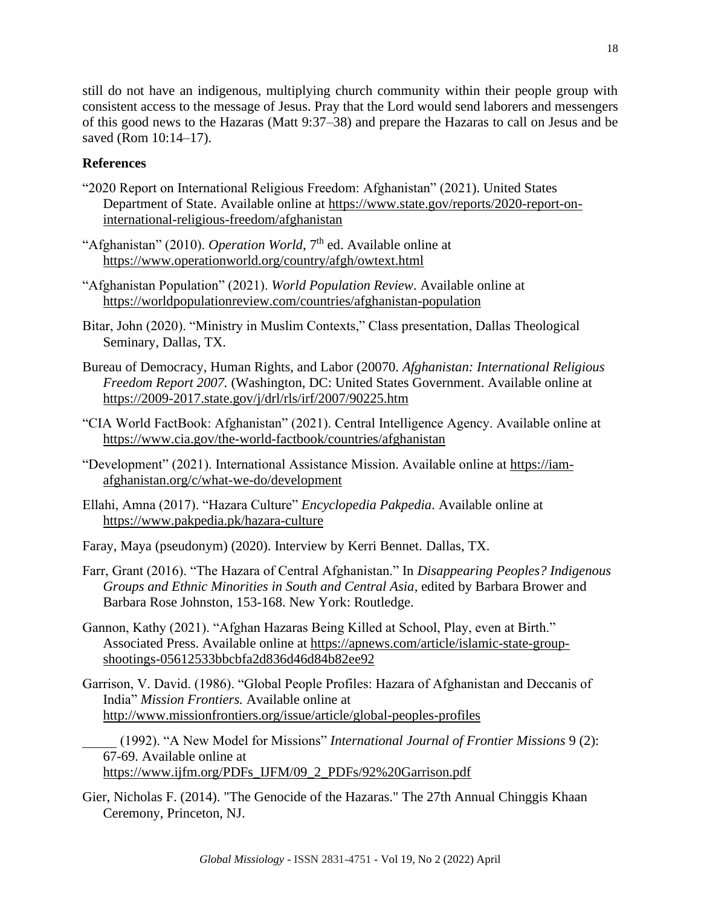still do not have an indigenous, multiplying church community within their people group with consistent access to the message of Jesus. Pray that the Lord would send laborers and messengers of this good news to the Hazaras (Matt 9:37–38) and prepare the Hazaras to call on Jesus and be saved (Rom 10:14–17).

# **References**

- "2020 Report on International Religious Freedom: Afghanistan" (2021). United States Department of State. Available online at [https://www.state.gov/reports/2020-report-on](https://www.state.gov/reports/2020-report-on-international-religious-freedom/afghanistan)[international-religious-freedom/afghanistan](https://www.state.gov/reports/2020-report-on-international-religious-freedom/afghanistan)
- "Afghanistan" (2010). *Operation World*, 7<sup>th</sup> ed. Available online at <https://www.operationworld.org/country/afgh/owtext.html>
- "Afghanistan Population" (2021). *World Population Review*. Available online at <https://worldpopulationreview.com/countries/afghanistan-population>
- Bitar, John (2020). "Ministry in Muslim Contexts," Class presentation, Dallas Theological Seminary, Dallas, TX.
- Bureau of Democracy, Human Rights, and Labor (20070. *Afghanistan: International Religious Freedom Report 2007.* (Washington, DC: United States Government. Available online at <https://2009-2017.state.gov/j/drl/rls/irf/2007/90225.htm>
- "CIA World FactBook: Afghanistan" (2021). Central Intelligence Agency. Available online at <https://www.cia.gov/the-world-factbook/countries/afghanistan>
- "Development" (2021). International Assistance Mission. Available online at [https://iam](https://iam-afghanistan.org/c/what-we-do/development)[afghanistan.org/c/what-we-do/development](https://iam-afghanistan.org/c/what-we-do/development)
- Ellahi, Amna (2017). "Hazara Culture" *Encyclopedia Pakpedia*. Available online at <https://www.pakpedia.pk/hazara-culture>
- Faray, Maya (pseudonym) (2020). Interview by Kerri Bennet. Dallas, TX.
- Farr, Grant (2016). "The Hazara of Central Afghanistan." In *Disappearing Peoples? Indigenous Groups and Ethnic Minorities in South and Central Asia*, edited by Barbara Brower and Barbara Rose Johnston, 153-168. New York: Routledge.
- Gannon, Kathy (2021). "Afghan Hazaras Being Killed at School, Play, even at Birth." Associated Press. Available online at [https://apnews.com/article/islamic-state-group](https://apnews.com/article/islamic-state-group-shootings-05612533bbcbfa2d836d46d84b82ee92)[shootings-05612533bbcbfa2d836d46d84b82ee92](https://apnews.com/article/islamic-state-group-shootings-05612533bbcbfa2d836d46d84b82ee92)
- Garrison, V. David. (1986). "Global People Profiles: Hazara of Afghanistan and Deccanis of India" *Mission Frontiers.* Available online at <http://www.missionfrontiers.org/issue/article/global-peoples-profiles>

\_\_\_\_\_ (1992). "A New Model for Missions" *International Journal of Frontier Missions* 9 (2): 67-69. Available online at [https://www.ijfm.org/PDFs\\_IJFM/09\\_2\\_PDFs/92%20Garrison.pdf](https://www.ijfm.org/PDFs_IJFM/09_2_PDFs/92%20Garrison.pdf)

Gier, Nicholas F. (2014). "The Genocide of the Hazaras." The 27th Annual Chinggis Khaan Ceremony, Princeton, NJ.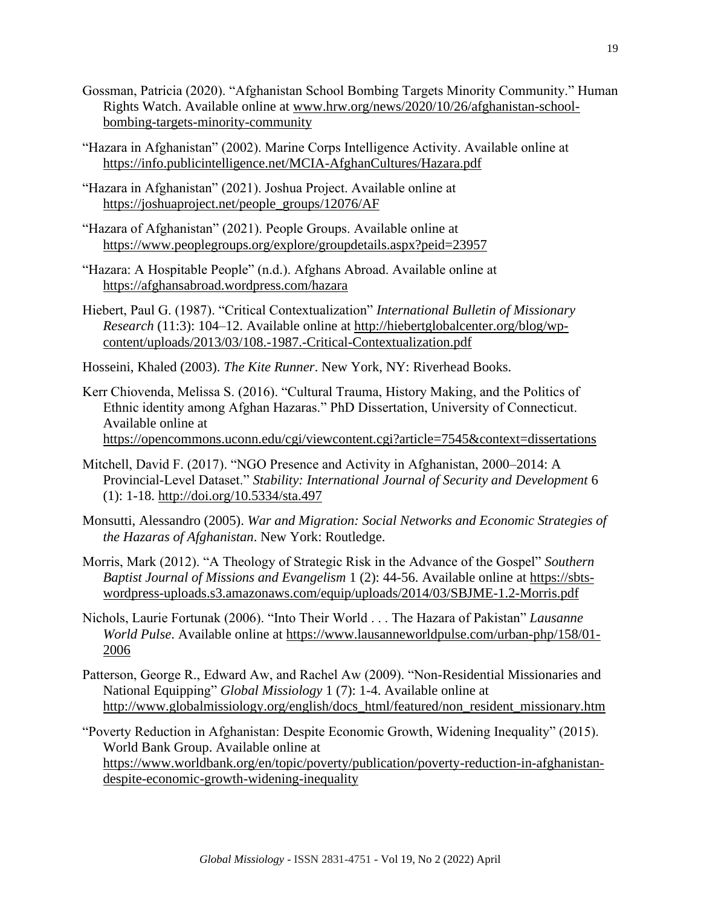- Gossman, Patricia (2020). "Afghanistan School Bombing Targets Minority Community." Human Rights Watch. Available online at [www.hrw.org/news/2020/10/26/afghanistan-school](http://www.hrw.org/news/2020/10/26/afghanistan-school-bombing-targets-minority-community)[bombing-targets-minority-community](http://www.hrw.org/news/2020/10/26/afghanistan-school-bombing-targets-minority-community)
- "Hazara in Afghanistan" (2002). Marine Corps Intelligence Activity. Available online at <https://info.publicintelligence.net/MCIA-AfghanCultures/Hazara.pdf>
- "Hazara in Afghanistan" (2021). Joshua Project. Available online at [https://joshuaproject.net/people\\_groups/12076/AF](https://joshuaproject.net/people_groups/12076/AF)
- "Hazara of Afghanistan" (2021). People Groups. Available online at <https://www.peoplegroups.org/explore/groupdetails.aspx?peid=23957>
- "Hazara: A Hospitable People" (n.d.). Afghans Abroad. Available online at <https://afghansabroad.wordpress.com/hazara>
- Hiebert, Paul G. (1987). "Critical Contextualization" *International Bulletin of Missionary Research* (11:3): 104–12. Available online at [http://hiebertglobalcenter.org/blog/wp](http://hiebertglobalcenter.org/blog/wp-content/uploads/2013/03/108.-1987.-Critical-Contextualization.pdf)[content/uploads/2013/03/108.-1987.-Critical-Contextualization.pdf](http://hiebertglobalcenter.org/blog/wp-content/uploads/2013/03/108.-1987.-Critical-Contextualization.pdf)
- Hosseini, Khaled (2003). *The Kite Runner*. New York, NY: Riverhead Books.
- Kerr Chiovenda, Melissa S. (2016). "Cultural Trauma, History Making, and the Politics of Ethnic identity among Afghan Hazaras." PhD Dissertation, University of Connecticut. Available online at <https://opencommons.uconn.edu/cgi/viewcontent.cgi?article=7545&context=dissertations>
- Mitchell, David F. (2017). "NGO Presence and Activity in Afghanistan, 2000–2014: A Provincial-Level Dataset." *Stability: International Journal of Security and Development* 6 (1): 1-18.<http://doi.org/10.5334/sta.497>
- Monsutti, Alessandro (2005). *War and Migration: Social Networks and Economic Strategies of the Hazaras of Afghanistan*. New York: Routledge.
- Morris, Mark (2012). "A Theology of Strategic Risk in the Advance of the Gospel" *Southern Baptist Journal of Missions and Evangelism* 1 (2): 44-56. Available online at [https://sbts](https://sbts-wordpress-uploads.s3.amazonaws.com/equip/uploads/2014/03/SBJME-1.2-Morris.pdf)[wordpress-uploads.s3.amazonaws.com/equip/uploads/2014/03/SBJME-1.2-Morris.pdf](https://sbts-wordpress-uploads.s3.amazonaws.com/equip/uploads/2014/03/SBJME-1.2-Morris.pdf)
- Nichols, Laurie Fortunak (2006). "Into Their World . . . The Hazara of Pakistan" *Lausanne World Pulse*. Available online at [https://www.lausanneworldpulse.com/urban-php/158/01-](https://www.lausanneworldpulse.com/urban-php/158/01-2006) [2006](https://www.lausanneworldpulse.com/urban-php/158/01-2006)
- Patterson, George R., Edward Aw, and Rachel Aw (2009). "Non-Residential Missionaries and National Equipping" *Global Missiology* 1 (7): 1-4. Available online at [http://www.globalmissiology.org/english/docs\\_html/featured/non\\_resident\\_missionary.htm](http://www.globalmissiology.org/english/docs_html/featured/non_resident_missionary.htm)
- "Poverty Reduction in Afghanistan: Despite Economic Growth, Widening Inequality" (2015). World Bank Group. Available online at [https://www.worldbank.org/en/topic/poverty/publication/poverty-reduction-in-afghanistan](https://www.worldbank.org/en/topic/poverty/publication/poverty-reduction-in-afghanistan-despite-economic-growth-widening-inequality)[despite-economic-growth-widening-inequality](https://www.worldbank.org/en/topic/poverty/publication/poverty-reduction-in-afghanistan-despite-economic-growth-widening-inequality)